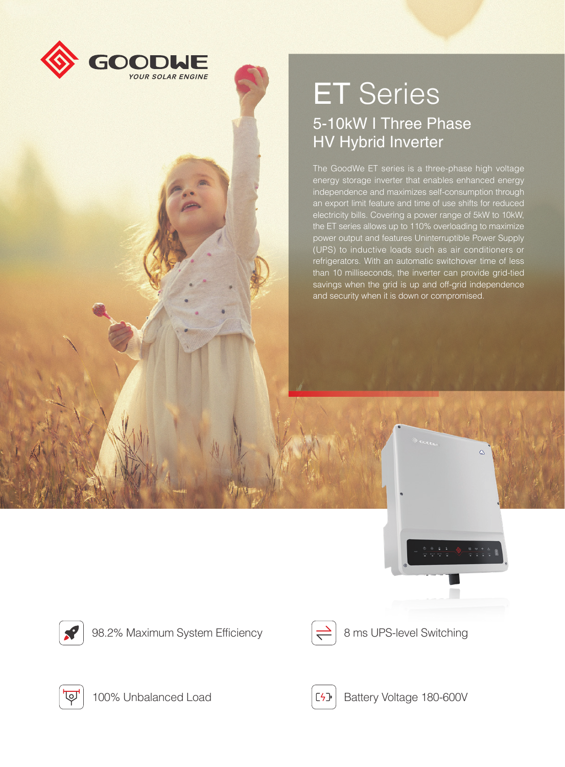

## ET Series 5-10kW I Three Phase HV Hybrid Inverter

The GoodWe ET series is a three-phase high voltage energy storage inverter that enables enhanced energy independence and maximizes self-consumption through an export limit feature and time of use shifts for reduced electricity bills. Covering a power range of 5kW to 10kW, the ET series allows up to 110% overloading to maximize power output and features Uninterruptible Power Supply (UPS) to inductive loads such as air conditioners or refrigerators. With an automatic switchover time of less than 10 milliseconds, the inverter can provide grid-tied savings when the grid is up and off-grid independence and security when it is down or compromised.



98.2% Maximum System Efficiency  $\left|\rightleftharpoons\right|$  8 ms UPS-level Switching







100% Unbalanced Load **Battery Voltage 180-600V**